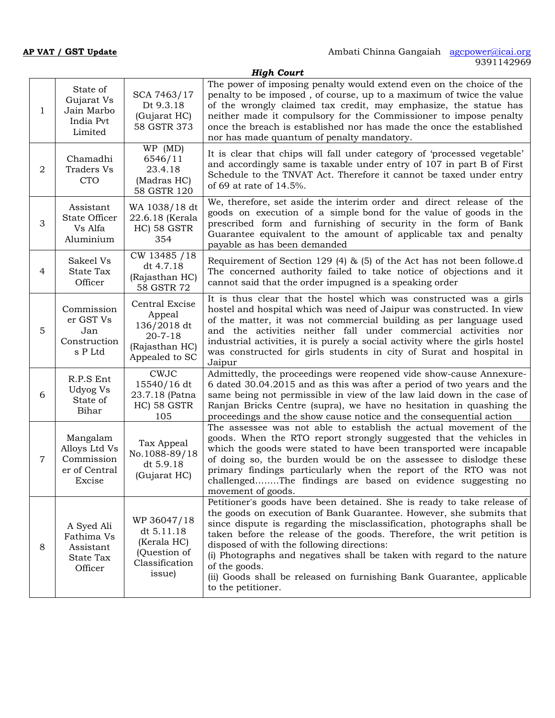|                | <b>High Court</b>                                                  |                                                                                              |                                                                                                                                                                                                                                                                                                                                                                                                                                                                                                                                           |  |  |
|----------------|--------------------------------------------------------------------|----------------------------------------------------------------------------------------------|-------------------------------------------------------------------------------------------------------------------------------------------------------------------------------------------------------------------------------------------------------------------------------------------------------------------------------------------------------------------------------------------------------------------------------------------------------------------------------------------------------------------------------------------|--|--|
| $\mathbf{1}$   | State of<br>Gujarat Vs<br>Jain Marbo<br>India Pvt<br>Limited       | SCA 7463/17<br>Dt 9.3.18<br>(Gujarat HC)<br>58 GSTR 373                                      | The power of imposing penalty would extend even on the choice of the<br>penalty to be imposed, of course, up to a maximum of twice the value<br>of the wrongly claimed tax credit, may emphasize, the statue has<br>neither made it compulsory for the Commissioner to impose penalty<br>once the breach is established nor has made the once the established<br>nor has made quantum of penalty mandatory.                                                                                                                               |  |  |
| 2              | Chamadhi<br><b>Traders Vs</b><br><b>CTO</b>                        | WP (MD)<br>6546/11<br>23.4.18<br>(Madras HC)<br>58 GSTR 120                                  | It is clear that chips will fall under category of 'processed vegetable'<br>and accordingly same is taxable under entry of 107 in part B of First<br>Schedule to the TNVAT Act. Therefore it cannot be taxed under entry<br>of 69 at rate of 14.5%.                                                                                                                                                                                                                                                                                       |  |  |
| 3              | Assistant<br>State Officer<br>Vs Alfa<br>Aluminium                 | WA 1038/18 dt<br>22.6.18 (Kerala<br>HC) 58 GSTR<br>354                                       | We, therefore, set aside the interim order and direct release of the<br>goods on execution of a simple bond for the value of goods in the<br>prescribed form and furnishing of security in the form of Bank<br>Guarantee equivalent to the amount of applicable tax and penalty<br>payable as has been demanded                                                                                                                                                                                                                           |  |  |
| 4              | Sakeel Vs<br><b>State Tax</b><br>Officer                           | CW 13485 / 18<br>dt 4.7.18<br>(Rajasthan HC)<br>58 GSTR 72                                   | Requirement of Section 129 (4) & (5) of the Act has not been followe.d<br>The concerned authority failed to take notice of objections and it<br>cannot said that the order impugned is a speaking order                                                                                                                                                                                                                                                                                                                                   |  |  |
| 5              | Commission<br>er GST Vs<br>Jan<br>Construction<br>s P Ltd          | Central Excise<br>Appeal<br>136/2018 dt<br>$20 - 7 - 18$<br>(Rajasthan HC)<br>Appealed to SC | It is thus clear that the hostel which was constructed was a girls<br>hostel and hospital which was need of Jaipur was constructed. In view<br>of the matter, it was not commercial building as per language used<br>and the activities neither fall under commercial activities nor<br>industrial activities, it is purely a social activity where the girls hostel<br>was constructed for girls students in city of Surat and hospital in<br>Jaipur                                                                                     |  |  |
| 6              | R.P.S Ent<br>Udyog Vs<br>State of<br>Bihar                         | <b>CWJC</b><br>15540/16 dt<br>23.7.18 (Patna<br>HC) 58 GSTR<br>105                           | Admittedly, the proceedings were reopened vide show-cause Annexure-<br>6 dated 30.04.2015 and as this was after a period of two years and the<br>same being not permissible in view of the law laid down in the case of<br>Ranjan Bricks Centre (supra), we have no hesitation in quashing the<br>proceedings and the show cause notice and the consequential action                                                                                                                                                                      |  |  |
| $\overline{7}$ | Mangalam<br>Alloys Ltd Vs<br>Commission<br>er of Central<br>Excise | Tax Appeal<br>No.1088-89/18<br>dt 5.9.18<br>(Gujarat HC)                                     | The assessee was not able to establish the actual movement of the<br>goods. When the RTO report strongly suggested that the vehicles in<br>which the goods were stated to have been transported were incapable<br>of doing so, the burden would be on the assessee to dislodge these<br>primary findings particularly when the report of the RTO was not<br>challengedThe findings are based on evidence suggesting no<br>movement of goods.                                                                                              |  |  |
| 8              | A Syed Ali<br>Fathima Vs<br>Assistant<br>State Tax<br>Officer      | WP 36047/18<br>dt 5.11.18<br>(Kerala HC)<br>(Question of<br>Classification<br>issue)         | Petitioner's goods have been detained. She is ready to take release of<br>the goods on execution of Bank Guarantee. However, she submits that<br>since dispute is regarding the misclassification, photographs shall be<br>taken before the release of the goods. Therefore, the writ petition is<br>disposed of with the following directions:<br>(i) Photographs and negatives shall be taken with regard to the nature<br>of the goods.<br>(ii) Goods shall be released on furnishing Bank Guarantee, applicable<br>to the petitioner. |  |  |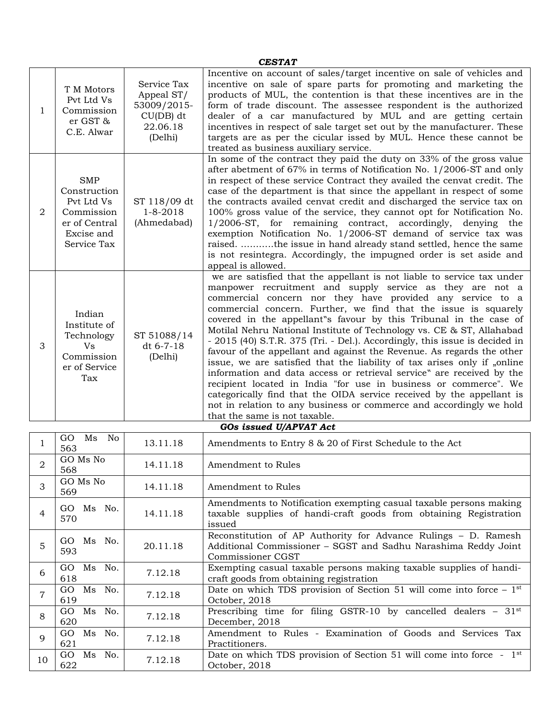| <b>CESTAT</b> |                                                                                                      |                                                                                |                                                                                                                                                                                                                                                                                                                                                                                                                                                                                                                                                                                                                                                                                                                                                                                                                                                                                                                                                                                      |  |
|---------------|------------------------------------------------------------------------------------------------------|--------------------------------------------------------------------------------|--------------------------------------------------------------------------------------------------------------------------------------------------------------------------------------------------------------------------------------------------------------------------------------------------------------------------------------------------------------------------------------------------------------------------------------------------------------------------------------------------------------------------------------------------------------------------------------------------------------------------------------------------------------------------------------------------------------------------------------------------------------------------------------------------------------------------------------------------------------------------------------------------------------------------------------------------------------------------------------|--|
| $\mathbf{1}$  | T M Motors<br>Pvt Ltd Vs<br>Commission<br>er GST &<br>C.E. Alwar                                     | Service Tax<br>Appeal ST/<br>53009/2015-<br>$CU(DB)$ dt<br>22.06.18<br>(Delhi) | Incentive on account of sales/target incentive on sale of vehicles and<br>incentive on sale of spare parts for promoting and marketing the<br>products of MUL, the contention is that these incentives are in the<br>form of trade discount. The assessee respondent is the authorized<br>dealer of a car manufactured by MUL and are getting certain<br>incentives in respect of sale target set out by the manufacturer. These<br>targets are as per the cicular issed by MUL. Hence these cannot be<br>treated as business auxiliary service.                                                                                                                                                                                                                                                                                                                                                                                                                                     |  |
| 2             | <b>SMP</b><br>Construction<br>Pvt Ltd Vs<br>Commission<br>er of Central<br>Excise and<br>Service Tax | ST 118/09 dt<br>$1 - 8 - 2018$<br>(Ahmedabad)                                  | In some of the contract they paid the duty on 33% of the gross value<br>after abetment of $67\%$ in terms of Notification No. 1/2006-ST and only<br>in respect of these service Contract they availed the cenvat credit. The<br>case of the department is that since the appellant in respect of some<br>the contracts availed cenvat credit and discharged the service tax on<br>100% gross value of the service, they cannot opt for Notification No.<br>1/2006-ST, for remaining contract, accordingly, denying the<br>exemption Notification No. 1/2006-ST demand of service tax was<br>raised. the issue in hand already stand settled, hence the same<br>is not resintegra. Accordingly, the impugned order is set aside and<br>appeal is allowed.                                                                                                                                                                                                                             |  |
| 3             | Indian<br>Institute of<br>Technology<br>Vs<br>Commission<br>er of Service<br>Tax                     | ST 51088/14<br>dt 6-7-18<br>(Delhi)                                            | we are satisfied that the appellant is not liable to service tax under<br>manpower recruitment and supply service as they are not a<br>commercial concern nor they have provided any service to a<br>commercial concern. Further, we find that the issue is squarely<br>covered in the appellant"s favour by this Tribunal in the case of<br>Motilal Nehru National Institute of Technology vs. CE & ST, Allahabad<br>- 2015 (40) S.T.R. 375 (Tri. - Del.). Accordingly, this issue is decided in<br>favour of the appellant and against the Revenue. As regards the other<br>issue, we are satisfied that the liability of tax arises only if "online<br>information and data access or retrieval service" are received by the<br>recipient located in India "for use in business or commerce". We<br>categorically find that the OIDA service received by the appellant is<br>not in relation to any business or commerce and accordingly we hold<br>that the same is not taxable. |  |

|                |                         |          | GOs issued U/APVAT Act                                                                                                                                |
|----------------|-------------------------|----------|-------------------------------------------------------------------------------------------------------------------------------------------------------|
|                | Ms No<br>GO<br>563      | 13.11.18 | Amendments to Entry 8 & 20 of First Schedule to the Act                                                                                               |
| $\overline{2}$ | GO Ms No<br>568         | 14.11.18 | Amendment to Rules                                                                                                                                    |
| 3              | GO Ms No<br>569         | 14.11.18 | Amendment to Rules                                                                                                                                    |
| 4              | GO Ms No.<br>570        | 14.11.18 | Amendments to Notification exempting casual taxable persons making<br>taxable supplies of handi-craft goods from obtaining Registration<br>issued     |
| 5              | Ms No.<br>GO.<br>593    | 20.11.18 | Reconstitution of AP Authority for Advance Rulings - D. Ramesh<br>Additional Commissioner - SGST and Sadhu Narashima Reddy Joint<br>Commissioner CGST |
| 6              | Ms No.<br>GO<br>618     | 7.12.18  | Exempting casual taxable persons making taxable supplies of handi-<br>craft goods from obtaining registration                                         |
|                | GO<br>Ms No.<br>619     | 7.12.18  | Date on which TDS provision of Section 51 will come into force $-1st$<br>October, 2018                                                                |
|                | Ms<br>No.<br>GO.<br>620 | 7.12.18  | Prescribing time for filing GSTR-10 by cancelled dealers $-31$ <sup>st</sup><br>December, 2018                                                        |
| $\mathbf Q$    | Ms No.<br>GO.<br>621    | 7.12.18  | Amendment to Rules - Examination of Goods and Services Tax<br>Practitioners.                                                                          |
| 10             | Ms<br>No.<br>GO.<br>622 | 7.12.18  | Date on which TDS provision of Section 51 will come into force - 1 <sup>st</sup><br>October, 2018                                                     |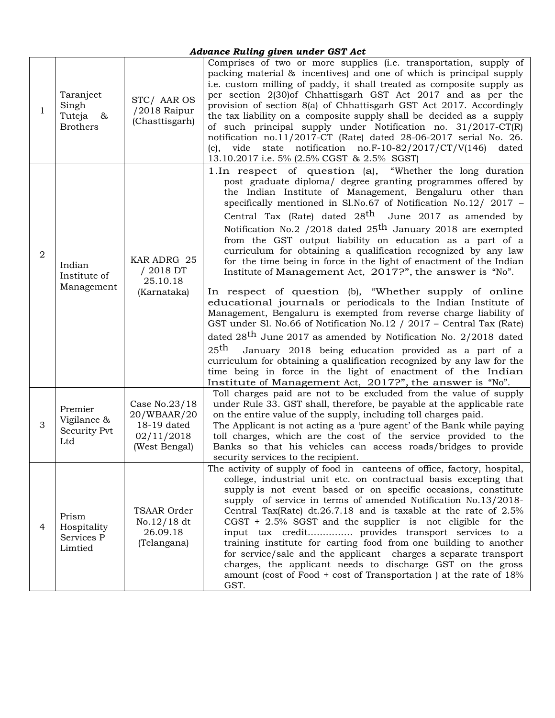## *Advance Ruling given under GST Act*

| $\mathbf{1}$ | Taranjeet<br>Singh<br>Tuteja &<br><b>Brothers</b> | STC/ AAR OS<br>/2018 Raipur<br>(Chasttisgarh)                              | Comprises of two or more supplies (i.e. transportation, supply of<br>packing material & incentives) and one of which is principal supply<br>i.e. custom milling of paddy, it shall treated as composite supply as<br>per section 2(30) of Chhattisgarh GST Act 2017 and as per the<br>provision of section 8(a) of Chhattisgarh GST Act 2017. Accordingly<br>the tax liability on a composite supply shall be decided as a supply<br>of such principal supply under Notification no. 31/2017-CT(R)<br>notification no.11/2017-CT (Rate) dated 28-06-2017 serial No. 26.<br>(c), vide state notification $no.F-10-82/2017/CT/V(146)$ dated<br>13.10.2017 i.e. 5% (2.5% CGST & 2.5% SGST)                                                                                                                                                                                                                                                                                                                                                                                                                                                                                                                                                                                                                                     |  |
|--------------|---------------------------------------------------|----------------------------------------------------------------------------|-----------------------------------------------------------------------------------------------------------------------------------------------------------------------------------------------------------------------------------------------------------------------------------------------------------------------------------------------------------------------------------------------------------------------------------------------------------------------------------------------------------------------------------------------------------------------------------------------------------------------------------------------------------------------------------------------------------------------------------------------------------------------------------------------------------------------------------------------------------------------------------------------------------------------------------------------------------------------------------------------------------------------------------------------------------------------------------------------------------------------------------------------------------------------------------------------------------------------------------------------------------------------------------------------------------------------------|--|
| 2            | Indian<br>Institute of<br>Management              | KAR ADRG 25<br>/ 2018 DT<br>25.10.18<br>(Karnataka)                        | 1. In respect of question (a),<br>"Whether the long duration"<br>post graduate diploma/ degree granting programmes offered by<br>the Indian Institute of Management, Bengaluru other than<br>specifically mentioned in Sl.No.67 of Notification No.12/ 2017 -<br>Central Tax (Rate) dated 28 <sup>th</sup> June 2017 as amended by<br>Notification No.2 /2018 dated 25 <sup>th</sup> January 2018 are exempted<br>from the GST output liability on education as a part of a<br>curriculum for obtaining a qualification recognized by any law<br>for the time being in force in the light of enactment of the Indian<br>Institute of Management Act, 2017?", the answer is "No".<br>In respect of question (b), "Whether supply of online<br>educational journals or periodicals to the Indian Institute of<br>Management, Bengaluru is exempted from reverse charge liability of<br>GST under Sl. No.66 of Notification No.12 / 2017 - Central Tax (Rate)<br>dated 28 <sup>th</sup> June 2017 as amended by Notification No. 2/2018 dated<br>25 <sup>th</sup><br>January 2018 being education provided as a part of a<br>curriculum for obtaining a qualification recognized by any law for the<br>time being in force in the light of enactment of the Indian<br>Institute of Management Act, 2017?", the answer is "No". |  |
| 3            | Premier<br>Vigilance &<br>Security Pvt<br>Ltd     | Case No.23/18<br>20/WBAAR/20<br>18-19 dated<br>02/11/2018<br>(West Bengal) | Toll charges paid are not to be excluded from the value of supply<br>under Rule 33. GST shall, therefore, be payable at the applicable rate<br>on the entire value of the supply, including toll charges paid.<br>The Applicant is not acting as a 'pure agent' of the Bank while paying<br>toll charges, which are the cost of the service provided to the<br>Banks so that his vehicles can access roads/bridges to provide<br>security services to the recipient.                                                                                                                                                                                                                                                                                                                                                                                                                                                                                                                                                                                                                                                                                                                                                                                                                                                        |  |
| 4            | Prism<br>Hospitality<br>Services P<br>Limtied     | TSAAR Order<br>No.12/18 dt<br>26.09.18<br>(Telangana)                      | The activity of supply of food in canteens of office, factory, hospital,<br>college, industrial unit etc. on contractual basis excepting that<br>supply is not event based or on specific occasions, constitute<br>supply of service in terms of amended Notification No.13/2018-<br>Central Tax(Rate) dt.26.7.18 and is taxable at the rate of $2.5\%$<br>$CGST + 2.5\%$ SGST and the supplier is not eligible for the<br>input tax credit provides transport services to a<br>training institute for carting food from one building to another<br>for service/sale and the applicant charges a separate transport<br>charges, the applicant needs to discharge GST on the gross<br>amount (cost of Food + cost of Transportation) at the rate of $18\%$<br>GST.                                                                                                                                                                                                                                                                                                                                                                                                                                                                                                                                                           |  |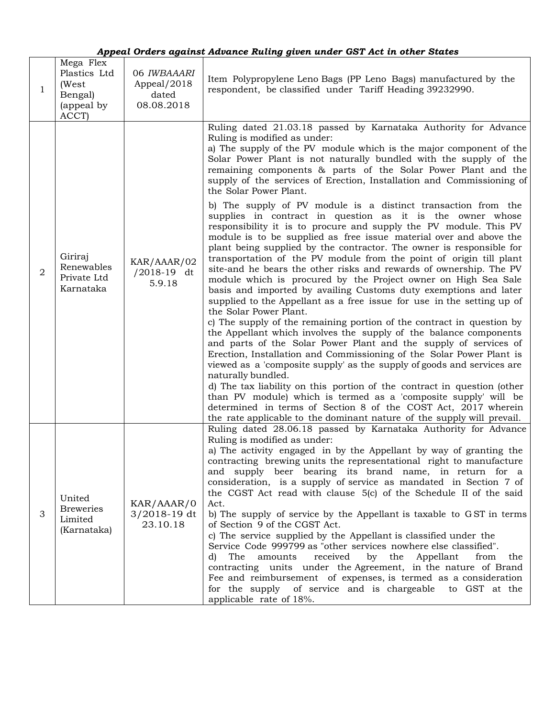|                | Appeal Orders against Advance Ruling given under GST Act in other States |                                                   |                                                                                                                                                                                                                                                                                                                                                                                                                                                                                                                                                                                                                                                                                                                                                                                                                                                                                                                                                                                                                                                                                                                                                                                                                                                                                                                                                                                                                                                                                                                                                                                                                                                                                                                                                                                                                                            |  |  |
|----------------|--------------------------------------------------------------------------|---------------------------------------------------|--------------------------------------------------------------------------------------------------------------------------------------------------------------------------------------------------------------------------------------------------------------------------------------------------------------------------------------------------------------------------------------------------------------------------------------------------------------------------------------------------------------------------------------------------------------------------------------------------------------------------------------------------------------------------------------------------------------------------------------------------------------------------------------------------------------------------------------------------------------------------------------------------------------------------------------------------------------------------------------------------------------------------------------------------------------------------------------------------------------------------------------------------------------------------------------------------------------------------------------------------------------------------------------------------------------------------------------------------------------------------------------------------------------------------------------------------------------------------------------------------------------------------------------------------------------------------------------------------------------------------------------------------------------------------------------------------------------------------------------------------------------------------------------------------------------------------------------------|--|--|
| 1              | Mega Flex<br>Plastics Ltd<br>(West<br>Bengal)<br>(appeal by<br>ACCT)     | 06 IWBAAARI<br>Appeal/2018<br>dated<br>08.08.2018 | Item Polypropylene Leno Bags (PP Leno Bags) manufactured by the<br>respondent, be classified under Tariff Heading 39232990.                                                                                                                                                                                                                                                                                                                                                                                                                                                                                                                                                                                                                                                                                                                                                                                                                                                                                                                                                                                                                                                                                                                                                                                                                                                                                                                                                                                                                                                                                                                                                                                                                                                                                                                |  |  |
| $\overline{2}$ | Giriraj<br>Renewables<br>Private Ltd<br>Karnataka                        | KAR/AAAR/02<br>$/2018-19$ dt<br>5.9.18            | Ruling dated 21.03.18 passed by Karnataka Authority for Advance<br>Ruling is modified as under:<br>a) The supply of the PV module which is the major component of the<br>Solar Power Plant is not naturally bundled with the supply of the<br>remaining components & parts of the Solar Power Plant and the<br>supply of the services of Erection, Installation and Commissioning of<br>the Solar Power Plant.<br>b) The supply of PV module is a distinct transaction from the<br>supplies in contract in question as it is the owner whose<br>responsibility it is to procure and supply the PV module. This PV<br>module is to be supplied as free issue material over and above the<br>plant being supplied by the contractor. The owner is responsible for<br>transportation of the PV module from the point of origin till plant<br>site-and he bears the other risks and rewards of ownership. The PV<br>module which is procured by the Project owner on High Sea Sale<br>basis and imported by availing Customs duty exemptions and later<br>supplied to the Appellant as a free issue for use in the setting up of<br>the Solar Power Plant.<br>c) The supply of the remaining portion of the contract in question by<br>the Appellant which involves the supply of the balance components<br>and parts of the Solar Power Plant and the supply of services of<br>Erection, Installation and Commissioning of the Solar Power Plant is<br>viewed as a 'composite supply' as the supply of goods and services are<br>naturally bundled.<br>d) The tax liability on this portion of the contract in question (other<br>than PV module) which is termed as a 'composite supply' will be<br>determined in terms of Section 8 of the COST Act, 2017 wherein<br>the rate applicable to the dominant nature of the supply will prevail. |  |  |
| 3              | United<br><b>Breweries</b><br>Limited<br>(Karnataka)                     | KAR/AAAR/0<br>$3/2018 - 19$ dt<br>23.10.18        | Ruling dated 28.06.18 passed by Karnataka Authority for Advance<br>Ruling is modified as under:<br>a) The activity engaged in by the Appellant by way of granting the<br>contracting brewing units the representational right to manufacture<br>and supply beer bearing its brand name, in return for a<br>consideration, is a supply of service as mandated in Section 7 of<br>the CGST Act read with clause 5(c) of the Schedule II of the said<br>Act.<br>b) The supply of service by the Appellant is taxable to GST in terms<br>of Section 9 of the CGST Act.<br>c) The service supplied by the Appellant is classified under the<br>Service Code 999799 as "other services nowhere else classified".<br>The amounts<br>received<br>by the Appellant<br>from<br>d)<br>the<br>contracting units under the Agreement, in the nature of Brand<br>Fee and reimbursement of expenses, is termed as a consideration<br>for the supply of service and is chargeable to GST at the<br>applicable rate of 18%.                                                                                                                                                                                                                                                                                                                                                                                                                                                                                                                                                                                                                                                                                                                                                                                                                                 |  |  |